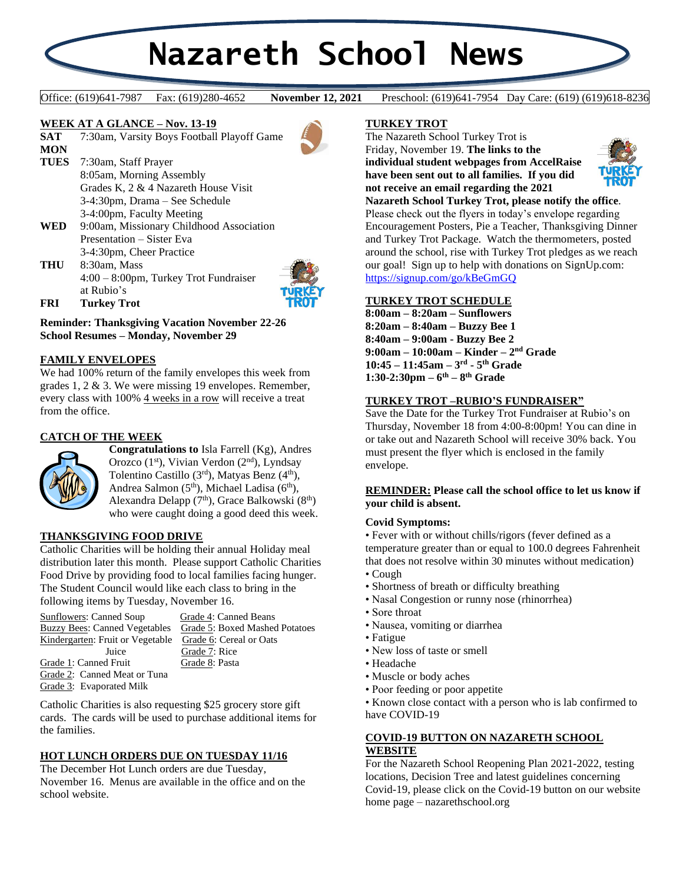# **Nazareth School News**

**November 12, 2021** 

Office: (619)641-7987 Fax: (619)280-4652 **November 12, 2021** Preschool: (619)641-7954 Day Care: (619) (619)618-8236

#### **WEEK AT A GLANCE – Nov. 13-19**

**SAT** 7:30am, Varsity Boys Football Playoff Game **MON TUES** 7:30am, Staff Prayer 8:05am, Morning Assembly Grades K, 2 & 4 Nazareth House Visit 3-4:30pm, Drama – See Schedule 3-4:00pm, Faculty Meeting **WED** 9:00am, Missionary Childhood Association Presentation – Sister Eva 3-4:30pm, Cheer Practice **THU** 8:30am, Mass 4:00 – 8:00pm, Turkey Trot Fundraiser



**FRI Turkey Trot**

at Rubio's

**Reminder: Thanksgiving Vacation November 22-26 School Resumes – Monday, November 29**

## **FAMILY ENVELOPES**

We had 100% return of the family envelopes this week from grades 1, 2 & 3. We were missing 19 envelopes. Remember, every class with 100% 4 weeks in a row will receive a treat from the office.

# **CATCH OF THE WEEK**

Ĭ



## **THANKSGIVING FOOD DRIVE**

Catholic Charities will be holding their annual Holiday meal distribution later this month. Please support Catholic Charities Food Drive by providing food to local families facing hunger. The Student Council would like each class to bring in the following items by Tuesday, November 16.

| Sunflowers: Canned Soup              | Grade 4: Canned Beans          |
|--------------------------------------|--------------------------------|
| <b>Buzzy Bees: Canned Vegetables</b> | Grade 5: Boxed Mashed Potatoes |
| Kindergarten: Fruit or Vegetable     | Grade 6: Cereal or Oats        |
| Juice                                | Grade 7: Rice                  |
| Grade 1: Canned Fruit                | Grade 8: Pasta                 |
| Grade 2: Canned Meat or Tuna         |                                |
| Grade 3: Evaporated Milk             |                                |

Catholic Charities is also requesting \$25 grocery store gift cards. The cards will be used to purchase additional items for the families.

## **HOT LUNCH ORDERS DUE ON TUESDAY 11/16**

The December Hot Lunch orders are due Tuesday, November 16. Menus are available in the office and on the school website.

## **TURKEY TROT**

The Nazareth School Turkey Trot is Friday, November 19. **The links to the individual student webpages from AccelRaise have been sent out to all families. If you did not receive an email regarding the 2021** 



**Nazareth School Turkey Trot, please notify the office**. Please check out the flyers in today's envelope regarding Encouragement Posters, Pie a Teacher, Thanksgiving Dinner and Turkey Trot Package. Watch the thermometers, posted around the school, rise with Turkey Trot pledges as we reach our goal! Sign up to help with donations on SignUp.com: <https://signup.com/go/kBeGmGQ>

## **TURKEY TROT SCHEDULE**

**8:00am – 8:20am – Sunflowers 8:20am – 8:40am – Buzzy Bee 1 8:40am – 9:00am - Buzzy Bee 2 9:00am – 10:00am – Kinder – 2 nd Grade 10:45 – 11:45am – 3 rd - 5 th Grade 1:30-2:30pm – 6 th – 8 th Grade**

## **TURKEY TROT –RUBIO'S FUNDRAISER"**

Save the Date for the Turkey Trot Fundraiser at Rubio's on Thursday, November 18 from 4:00-8:00pm! You can dine in or take out and Nazareth School will receive 30% back. You must present the flyer which is enclosed in the family envelope.

## **REMINDER: Please call the school office to let us know if your child is absent.**

#### **Covid Symptoms:**

• Fever with or without chills/rigors (fever defined as a temperature greater than or equal to 100.0 degrees Fahrenheit that does not resolve within 30 minutes without medication)

- Cough
- Shortness of breath or difficulty breathing
- Nasal Congestion or runny nose (rhinorrhea)
- Sore throat
- Nausea, vomiting or diarrhea
- Fatigue
- New loss of taste or smell
- Headache
- Muscle or body aches
- Poor feeding or poor appetite

• Known close contact with a person who is lab confirmed to have COVID-19

## **COVID-19 BUTTON ON NAZARETH SCHOOL WEBSITE**

For the Nazareth School Reopening Plan 2021-2022, testing locations, Decision Tree and latest guidelines concerning Covid-19, please click on the Covid-19 button on our website home page – nazarethschool.org